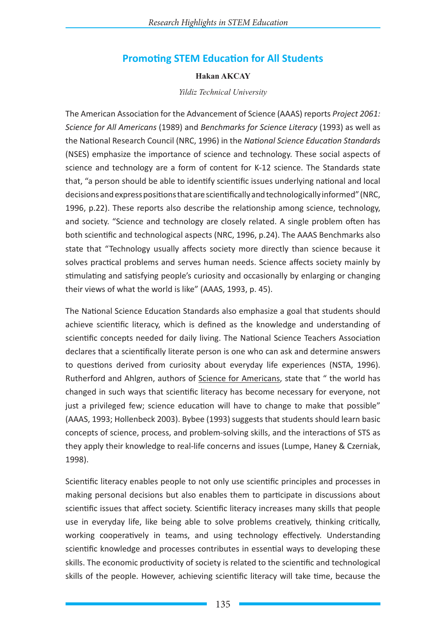# **Promoting STEM Education for All Students**

#### **Hakan AKCAY**

*Yildiz Technical University*

The American Association for the Advancement of Science (AAAS) reports *Project 2061: Science for All Americans* (1989) and *Benchmarks for Science Literacy* (1993) as well as the National Research Council (NRC, 1996) in the *National Science Education Standards* (NSES) emphasize the importance of science and technology. These social aspects of science and technology are a form of content for K-12 science. The Standards state that, "a person should be able to identify scientific issues underlying national and local decisions and express positions that are scientifically and technologically informed" (NRC, 1996, p.22). These reports also describe the relationship among science, technology, and society. "Science and technology are closely related. A single problem often has both scientific and technological aspects (NRC, 1996, p.24). The AAAS Benchmarks also state that "Technology usually affects society more directly than science because it solves practical problems and serves human needs. Science affects society mainly by stimulating and satisfying people's curiosity and occasionally by enlarging or changing their views of what the world is like" (AAAS, 1993, p. 45).

The National Science Education Standards also emphasize a goal that students should achieve scientific literacy, which is defined as the knowledge and understanding of scientific concepts needed for daily living. The National Science Teachers Association declares that a scientifically literate person is one who can ask and determine answers to questions derived from curiosity about everyday life experiences (NSTA, 1996). Rutherford and Ahlgren, authors of Science for Americans, state that " the world has changed in such ways that scientific literacy has become necessary for everyone, not just a privileged few; science education will have to change to make that possible" (AAAS, 1993; Hollenbeck 2003). Bybee (1993) suggests that students should learn basic concepts of science, process, and problem-solving skills, and the interactions of STS as they apply their knowledge to real-life concerns and issues (Lumpe, Haney & Czerniak, 1998).

Scientific literacy enables people to not only use scientific principles and processes in making personal decisions but also enables them to participate in discussions about scientific issues that affect society. Scientific literacy increases many skills that people use in everyday life, like being able to solve problems creatively, thinking critically, working cooperatively in teams, and using technology effectively. Understanding scientific knowledge and processes contributes in essential ways to developing these skills. The economic productivity of society is related to the scientific and technological skills of the people. However, achieving scientific literacy will take time, because the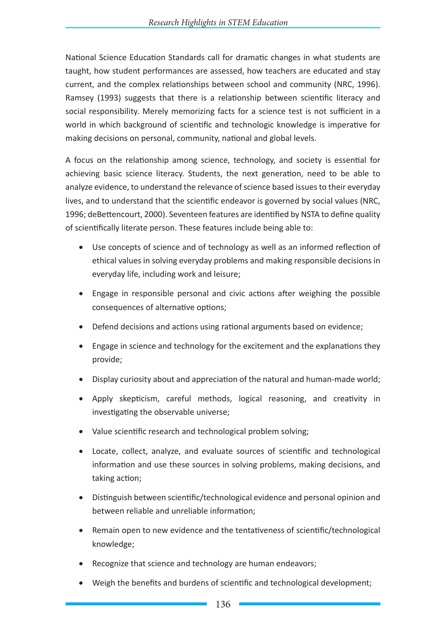National Science Education Standards call for dramatic changes in what students are taught, how student performances are assessed, how teachers are educated and stay current, and the complex relationships between school and community (NRC, 1996). Ramsey (1993) suggests that there is a relationship between scientific literacy and social responsibility. Merely memorizing facts for a science test is not sufficient in a world in which background of scientific and technologic knowledge is imperative for making decisions on personal, community, national and global levels.

A focus on the relationship among science, technology, and society is essential for achieving basic science literacy. Students, the next generation, need to be able to analyze evidence, to understand the relevance of science based issues to their everyday lives, and to understand that the scientific endeavor is governed by social values (NRC, 1996; deBettencourt, 2000). Seventeen features are identified by NSTA to define quality of scientifically literate person. These features include being able to:

- Use concepts of science and of technology as well as an informed reflection of ethical values in solving everyday problems and making responsible decisions in everyday life, including work and leisure;
- Engage in responsible personal and civic actions after weighing the possible consequences of alternative options;
- Defend decisions and actions using rational arguments based on evidence;
- Engage in science and technology for the excitement and the explanations they provide;
- Display curiosity about and appreciation of the natural and human-made world;
- • Apply skepticism, careful methods, logical reasoning, and creativity in investigating the observable universe;
- Value scientific research and technological problem solving;
- Locate, collect, analyze, and evaluate sources of scientific and technological information and use these sources in solving problems, making decisions, and taking action;
- • Distinguish between scientific/technological evidence and personal opinion and between reliable and unreliable information;
- Remain open to new evidence and the tentativeness of scientific/technological knowledge;
- Recognize that science and technology are human endeavors;
- Weigh the benefits and burdens of scientific and technological development;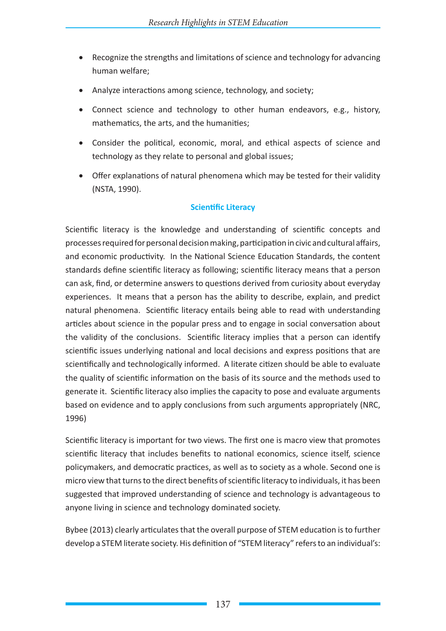- Recognize the strengths and limitations of science and technology for advancing human welfare;
- Analyze interactions among science, technology, and society;
- Connect science and technology to other human endeavors, e.g., history, mathematics, the arts, and the humanities;
- • Consider the political, economic, moral, and ethical aspects of science and technology as they relate to personal and global issues;
- Offer explanations of natural phenomena which may be tested for their validity (NSTA, 1990).

## **Scientific Literacy**

Scientific literacy is the knowledge and understanding of scientific concepts and processes required for personal decision making, participation in civic and cultural affairs, and economic productivity. In the National Science Education Standards, the content standards define scientific literacy as following; scientific literacy means that a person can ask, find, or determine answers to questions derived from curiosity about everyday experiences. It means that a person has the ability to describe, explain, and predict natural phenomena. Scientific literacy entails being able to read with understanding articles about science in the popular press and to engage in social conversation about the validity of the conclusions. Scientific literacy implies that a person can identify scientific issues underlying national and local decisions and express positions that are scientifically and technologically informed. A literate citizen should be able to evaluate the quality of scientific information on the basis of its source and the methods used to generate it. Scientific literacy also implies the capacity to pose and evaluate arguments based on evidence and to apply conclusions from such arguments appropriately (NRC, 1996)

Scientific literacy is important for two views. The first one is macro view that promotes scientific literacy that includes benefits to national economics, science itself, science policymakers, and democratic practices, as well as to society as a whole. Second one is micro view that turns to the direct benefits of scientific literacy to individuals, it has been suggested that improved understanding of science and technology is advantageous to anyone living in science and technology dominated society.

Bybee (2013) clearly articulates that the overall purpose of STEM education is to further develop a STEM literate society. His definition of "STEM literacy" refers to an individual's: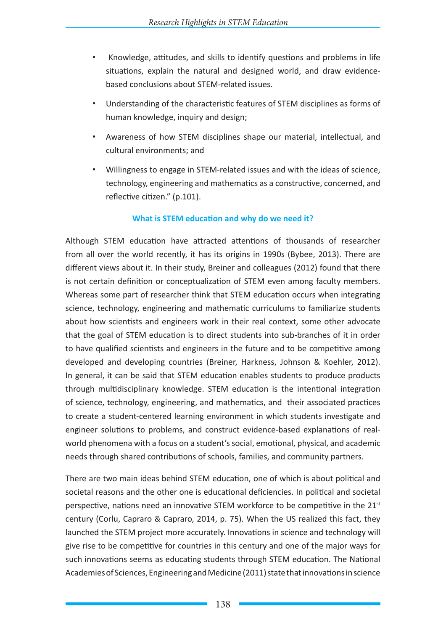- • Knowledge, attitudes, and skills to identify questions and problems in life situations, explain the natural and designed world, and draw evidencebased conclusions about STEM-related issues.
- Understanding of the characteristic features of STEM disciplines as forms of human knowledge, inquiry and design;
- Awareness of how STEM disciplines shape our material, intellectual, and cultural environments; and
- Willingness to engage in STEM-related issues and with the ideas of science, technology, engineering and mathematics as a constructive, concerned, and reflective citizen." (p.101).

### **What is STEM education and why do we need it?**

Although STEM education have attracted attentions of thousands of researcher from all over the world recently, it has its origins in 1990s (Bybee, 2013). There are different views about it. In their study, Breiner and colleagues (2012) found that there is not certain definition or conceptualization of STEM even among faculty members. Whereas some part of researcher think that STEM education occurs when integrating science, technology, engineering and mathematic curriculums to familiarize students about how scientists and engineers work in their real context, some other advocate that the goal of STEM education is to direct students into sub-branches of it in order to have qualified scientists and engineers in the future and to be competitive among developed and developing countries (Breiner, Harkness, Johnson & Koehler, 2012). In general, it can be said that STEM education enables students to produce products through multidisciplinary knowledge. STEM education is the intentional integration of science, technology, engineering, and mathematics, and their associated practices to create a student-centered learning environment in which students investigate and engineer solutions to problems, and construct evidence-based explanations of realworld phenomena with a focus on a student's social, emotional, physical, and academic needs through shared contributions of schools, families, and community partners.

There are two main ideas behind STEM education, one of which is about political and societal reasons and the other one is educational deficiencies. In political and societal perspective, nations need an innovative STEM workforce to be competitive in the  $21<sup>st</sup>$ century (Corlu, Capraro & Capraro, 2014, p. 75). When the US realized this fact, they launched the STEM project more accurately. Innovations in science and technology will give rise to be competitive for countries in this century and one of the major ways for such innovations seems as educating students through STEM education. The National Academies of Sciences, Engineering and Medicine (2011) state that innovations in science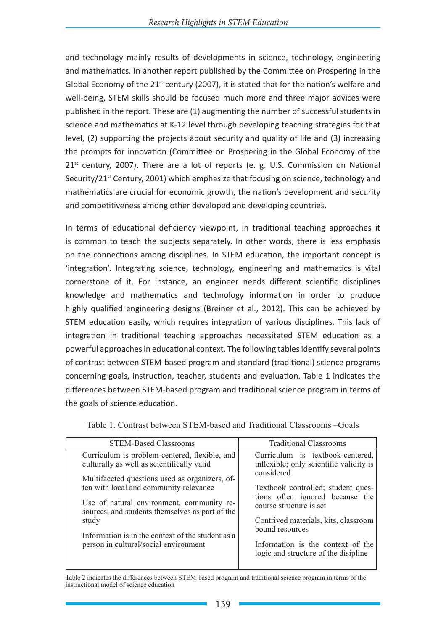and technology mainly results of developments in science, technology, engineering and mathematics. In another report published by the Committee on Prospering in the Global Economy of the 21<sup>st</sup> century (2007), it is stated that for the nation's welfare and well-being, STEM skills should be focused much more and three major advices were published in the report. These are (1) augmenting the number of successful students in science and mathematics at K-12 level through developing teaching strategies for that level, (2) supporting the projects about security and quality of life and (3) increasing the prompts for innovation (Committee on Prospering in the Global Economy of the  $21<sup>st</sup>$  century, 2007). There are a lot of reports (e. g. U.S. Commission on National Security/21 $<sup>st</sup>$  Century, 2001) which emphasize that focusing on science, technology and</sup> mathematics are crucial for economic growth, the nation's development and security and competitiveness among other developed and developing countries.

In terms of educational deficiency viewpoint, in traditional teaching approaches it is common to teach the subjects separately. In other words, there is less emphasis on the connections among disciplines. In STEM education, the important concept is 'integration'. Integrating science, technology, engineering and mathematics is vital cornerstone of it. For instance, an engineer needs different scientific disciplines knowledge and mathematics and technology information in order to produce highly qualified engineering designs (Breiner et al., 2012). This can be achieved by STEM education easily, which requires integration of various disciplines. This lack of integration in traditional teaching approaches necessitated STEM education as a powerful approaches in educational context. The following tables identify several points of contrast between STEM-based program and standard (traditional) science programs concerning goals, instruction, teacher, students and evaluation. Table 1 indicates the differences between STEM-based program and traditional science program in terms of the goals of science education.

| <b>STEM-Based Classrooms</b>                                                                                                                                                                                                                                                                                                                                                                   | <b>Traditional Classrooms</b>                                                                                                                                                                                                                                                                                                         |
|------------------------------------------------------------------------------------------------------------------------------------------------------------------------------------------------------------------------------------------------------------------------------------------------------------------------------------------------------------------------------------------------|---------------------------------------------------------------------------------------------------------------------------------------------------------------------------------------------------------------------------------------------------------------------------------------------------------------------------------------|
| Curriculum is problem-centered, flexible, and<br>culturally as well as scientifically valid<br>Multifaceted questions used as organizers, of-<br>ten with local and community relevance<br>Use of natural environment, community re-<br>sources, and students themselves as part of the<br>study<br>Information is in the context of the student as a<br>person in cultural/social environment | Curriculum is textbook-centered,<br>inflexible; only scientific validity is<br>considered<br>Textbook controlled; student ques-<br>tions often ignored because the<br>course structure is set<br>Contrived materials, kits, classroom<br>bound resources<br>Information is the context of the<br>logic and structure of the disipline |
|                                                                                                                                                                                                                                                                                                                                                                                                |                                                                                                                                                                                                                                                                                                                                       |

Table 1. Contrast between STEM-based and Traditional Classrooms –Goals

Table 2 indicates the differences between STEM-based program and traditional science program in terms of the instructional model of science education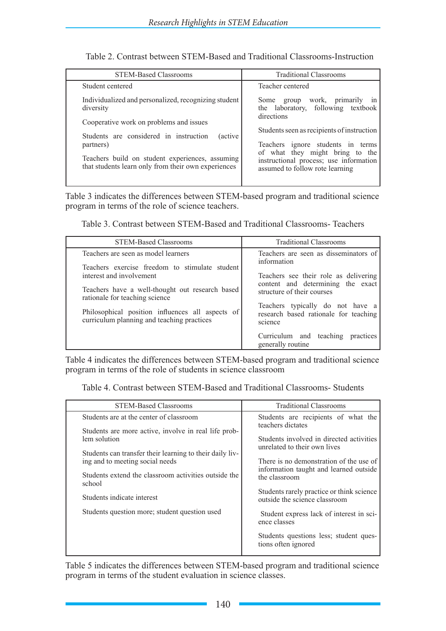| Table 2. Contrast between STEM-Based and Traditional Classrooms-Instruction |
|-----------------------------------------------------------------------------|
|-----------------------------------------------------------------------------|

| <b>STEM-Based Classrooms</b>                                                                                                                                                                                                                                                                     | <b>Traditional Classrooms</b>                                                                                                                     |
|--------------------------------------------------------------------------------------------------------------------------------------------------------------------------------------------------------------------------------------------------------------------------------------------------|---------------------------------------------------------------------------------------------------------------------------------------------------|
| Student centered                                                                                                                                                                                                                                                                                 | Teacher centered                                                                                                                                  |
| Individualized and personalized, recognizing student<br>diversity<br>Cooperative work on problems and issues<br>Students are considered in instruction<br><i>(active)</i><br>partners)<br>Teachers build on student experiences, assuming<br>that students learn only from their own experiences | work, primarily<br>Some group<br>1n<br>the laboratory, following textbook<br>directions<br>Students seen as recipients of instruction             |
|                                                                                                                                                                                                                                                                                                  | Teachers ignore students in terms<br>of what they might bring to the<br>instructional process; use information<br>assumed to follow rote learning |

Table 3 indicates the differences between STEM-based program and traditional science program in terms of the role of science teachers.

Table 3. Contrast between STEM-Based and Traditional Classrooms- Teachers

| <b>STEM-Based Classrooms</b>                                                                                                                                         | <b>Traditional Classrooms</b>                                                                                                                                    |
|----------------------------------------------------------------------------------------------------------------------------------------------------------------------|------------------------------------------------------------------------------------------------------------------------------------------------------------------|
| Teachers are seen as model learners<br>Teachers exercise freedom to stimulate student<br>interest and involvement<br>Teachers have a well-thought out research based | Teachers are seen as disseminators of<br>information<br>Teachers see their role as delivering<br>content and determining the exact<br>structure of their courses |
| rationale for teaching science<br>Philosophical position influences all aspects of<br>curriculum planning and teaching practices                                     | Teachers typically do not have a<br>research based rationale for teaching<br>science<br>Curriculum and teaching<br>practices                                     |
|                                                                                                                                                                      | generally routine                                                                                                                                                |

Table 4 indicates the differences between STEM-based program and traditional science program in terms of the role of students in science classroom

Table 4. Contrast between STEM-Based and Traditional Classrooms- Students

| <b>STEM-Based Classrooms</b>                                   | <b>Traditional Classrooms</b>                                                     |
|----------------------------------------------------------------|-----------------------------------------------------------------------------------|
| Students are at the center of classroom                        | Students are recipients of what the<br>teachers dictates                          |
| Students are more active, involve in real life prob-           |                                                                                   |
| lem solution                                                   | Students involved in directed activities<br>unrelated to their own lives          |
| Students can transfer their learning to their daily liv-       |                                                                                   |
| ing and to meeting social needs                                | There is no demonstration of the use of<br>information taught and learned outside |
| Students extend the classroom activities outside the<br>school | the classroom                                                                     |
| Students indicate interest                                     | Students rarely practice or think science<br>outside the science classroom        |
| Students question more; student question used                  | Student express lack of interest in sci-<br>ence classes                          |
|                                                                | Students questions less; student ques-<br>tions often ignored                     |

Table 5 indicates the differences between STEM-based program and traditional science program in terms of the student evaluation in science classes.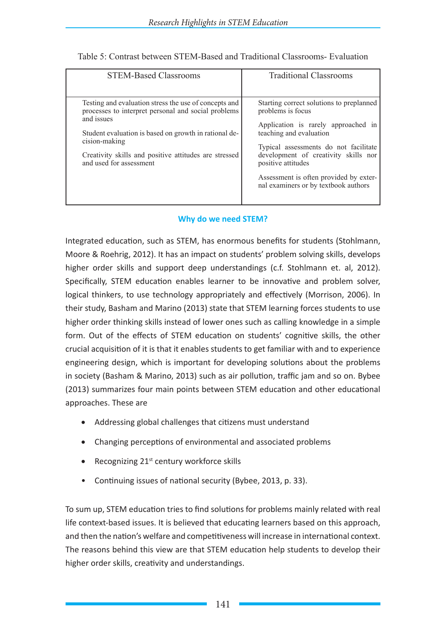| <b>STEM-Based Classrooms</b>                                                                                                                                                                                                                                                             | <b>Traditional Classrooms</b>                                                                                                                                                                                                          |
|------------------------------------------------------------------------------------------------------------------------------------------------------------------------------------------------------------------------------------------------------------------------------------------|----------------------------------------------------------------------------------------------------------------------------------------------------------------------------------------------------------------------------------------|
| Testing and evaluation stress the use of concepts and<br>processes to interpret personal and social problems<br>and issues<br>Student evaluation is based on growth in rational de-<br>cision-making<br>Creativity skills and positive attitudes are stressed<br>and used for assessment | Starting correct solutions to preplanned<br>problems is focus<br>Application is rarely approached in<br>teaching and evaluation<br>Typical assessments do not facilitate<br>development of creativity skills nor<br>positive attitudes |
|                                                                                                                                                                                                                                                                                          | Assessment is often provided by exter-<br>nal examiners or by textbook authors                                                                                                                                                         |

## Table 5: Contrast between STEM-Based and Traditional Classrooms- Evaluation

### **Why do we need STEM?**

Integrated education, such as STEM, has enormous benefits for students (Stohlmann, Moore & Roehrig, 2012). It has an impact on students' problem solving skills, develops higher order skills and support deep understandings (c.f. Stohlmann et. al, 2012). Specifically, STEM education enables learner to be innovative and problem solver, logical thinkers, to use technology appropriately and effectively (Morrison, 2006). In their study, Basham and Marino (2013) state that STEM learning forces students to use higher order thinking skills instead of lower ones such as calling knowledge in a simple form. Out of the effects of STEM education on students' cognitive skills, the other crucial acquisition of it is that it enables students to get familiar with and to experience engineering design, which is important for developing solutions about the problems in society (Basham & Marino, 2013) such as air pollution, traffic jam and so on. Bybee (2013) summarizes four main points between STEM education and other educational approaches. These are

- Addressing global challenges that citizens must understand
- Changing perceptions of environmental and associated problems
- Recognizing  $21<sup>st</sup>$  century workforce skills
- Continuing issues of national security (Bybee, 2013, p. 33).

To sum up, STEM education tries to find solutions for problems mainly related with real life context-based issues. It is believed that educating learners based on this approach, and then the nation's welfare and competitiveness will increase in international context. The reasons behind this view are that STEM education help students to develop their higher order skills, creativity and understandings.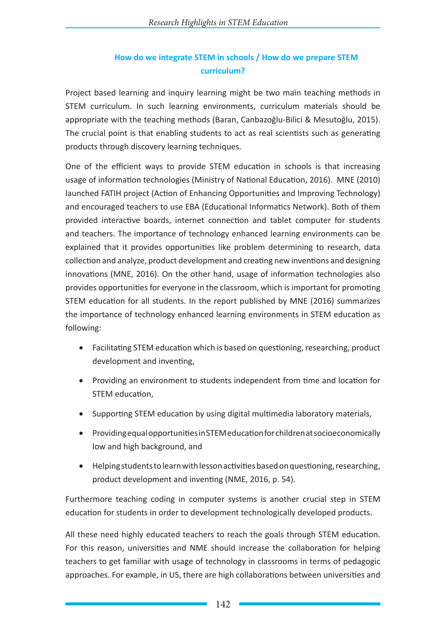## **How do we integrate STEM in schools / How do we prepare STEM curriculum?**

Project based learning and inquiry learning might be two main teaching methods in STEM curriculum. In such learning environments, curriculum materials should be appropriate with the teaching methods (Baran, Canbazoğlu-Bilici & Mesutoğlu, 2015). The crucial point is that enabling students to act as real scientists such as generating products through discovery learning techniques.

One of the efficient ways to provide STEM education in schools is that increasing usage of information technologies (Ministry of National Education, 2016). MNE (2010) launched FATIH project (Action of Enhancing Opportunities and Improving Technology) and encouraged teachers to use EBA (Educational Informatics Network). Both of them provided interactive boards, internet connection and tablet computer for students and teachers. The importance of technology enhanced learning environments can be explained that it provides opportunities like problem determining to research, data collection and analyze, product development and creating new inventions and designing innovations (MNE, 2016). On the other hand, usage of information technologies also provides opportunities for everyone in the classroom, which is important for promoting STEM education for all students. In the report published by MNE (2016) summarizes the importance of technology enhanced learning environments in STEM education as following:

- Facilitating STEM education which is based on questioning, researching, product development and inventing,
- Providing an environment to students independent from time and location for STEM education,
- Supporting STEM education by using digital multimedia laboratory materials,
- • Providing equal opportunities in STEM education for children at socioeconomically low and high background, and
- • Helping students to learn with lesson activities based on questioning, researching, product development and inventing (NME, 2016, p. 54).

Furthermore teaching coding in computer systems is another crucial step in STEM education for students in order to development technologically developed products.

All these need highly educated teachers to reach the goals through STEM education. For this reason, universities and NME should increase the collaboration for helping teachers to get familiar with usage of technology in classrooms in terms of pedagogic approaches. For example, in US, there are high collaborations between universities and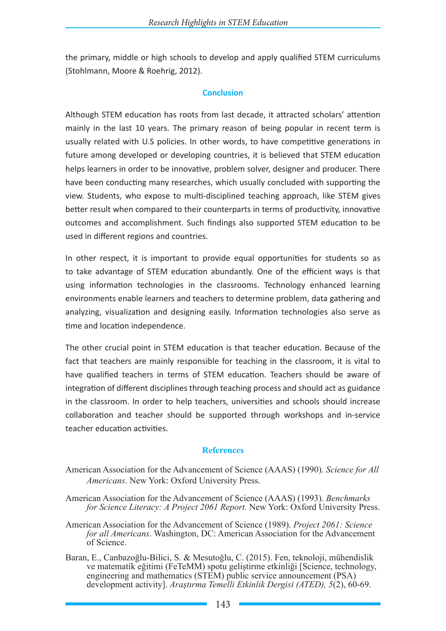the primary, middle or high schools to develop and apply qualified STEM curriculums (Stohlmann, Moore & Roehrig, 2012).

#### **Conclusion**

Although STEM education has roots from last decade, it attracted scholars' attention mainly in the last 10 years. The primary reason of being popular in recent term is usually related with U.S policies. In other words, to have competitive generations in future among developed or developing countries, it is believed that STEM education helps learners in order to be innovative, problem solver, designer and producer. There have been conducting many researches, which usually concluded with supporting the view. Students, who expose to multi-disciplined teaching approach, like STEM gives better result when compared to their counterparts in terms of productivity, innovative outcomes and accomplishment. Such findings also supported STEM education to be used in different regions and countries.

In other respect, it is important to provide equal opportunities for students so as to take advantage of STEM education abundantly. One of the efficient ways is that using information technologies in the classrooms. Technology enhanced learning environments enable learners and teachers to determine problem, data gathering and analyzing, visualization and designing easily. Information technologies also serve as time and location independence.

The other crucial point in STEM education is that teacher education. Because of the fact that teachers are mainly responsible for teaching in the classroom, it is vital to have qualified teachers in terms of STEM education. Teachers should be aware of integration of different disciplines through teaching process and should act as guidance in the classroom. In order to help teachers, universities and schools should increase collaboration and teacher should be supported through workshops and in-service teacher education activities.

#### **References**

- American Association for the Advancement of Science (AAAS) (1990). *Science for All Americans*. New York: Oxford University Press.
- American Association for the Advancement of Science (AAAS) (1993). *Benchmarks for Science Literacy: A Project 2061 Report.* New York: Oxford University Press.
- American Association for the Advancement of Science (1989). *Project 2061: Science for all Americans*. Washington, DC: American Association for the Advancement of Science.
- Baran, E., Canbazoğlu-Bilici, S. & Mesutoğlu, C. (2015). Fen, teknoloji, mühendislik ve matematik eğitimi (FeTeMM) spotu geliştirme etkinliği [Science, technology, engineering and mathematics (STEM) public service announcement (PSA) development activity]. *Araştırma Temelli Etkinlik Dergisi (ATED), 5*(2), 60-69.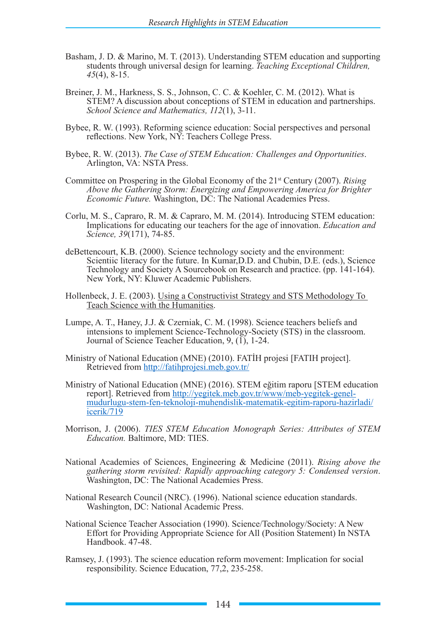- Basham, J. D. & Marino, M. T. (2013). Understanding STEM education and supporting students through universal design for learning. *Teaching Exceptional Children, 45*(4), 8-15.
- Breiner, J. M., Harkness, S. S., Johnson, C. C. & Koehler, C. M. (2012). What is STEM? A discussion about conceptions of STEM in education and partnerships. *School Science and Mathematics, 112*(1), 3-11.
- Bybee, R. W. (1993). Reforming science education: Social perspectives and personal reflections. New York, NY: Teachers College Press.
- Bybee, R. W. (2013). *The Case of STEM Education: Challenges and Opportunities*. Arlington, VA: NSTA Press.
- Committee on Prospering in the Global Economy of the 21st Century (2007). *Rising Above the Gathering Storm: Energizing and Empowering America for Brighter Economic Future.* Washington, DC: The National Academies Press.
- Corlu, M. S., Capraro, R. M. & Capraro, M. M. (2014). Introducing STEM education: Implications for educating our teachers for the age of innovation. *Education and Science, 39*(171), 74-85.
- deBettencourt, K.B. (2000). Science technology society and the environment: Scientiic literacy for the future. In Kumar, D.D. and Chubin, D.E. (eds.), Science Technology and Society A Sourcebook on Research and practice. (pp. 141-164). New York, NY: Kluwer Academic Publishers.
- Hollenbeck, J. E. (2003). Using a Constructivist Strategy and STS Methodology To Teach Science with the Humanities.
- Lumpe, A. T., Haney, J.J. & Czerniak, C. M. (1998). Science teachers beliefs and intensions to implement Science-Technology-Society (STS) in the classroom. Journal of Science Teacher Education, 9, (1), 1-24.
- Ministry of National Education (MNE) (2010). FATİH projesi [FATIH project]. Retrieved from http://fatihprojesi.meb.gov.tr/
- Ministry of National Education (MNE) (2016). STEM eğitim raporu [STEM education report]. Retrieved from http://yegitek.meb.gov.tr/www/meb-yegitek-genelmudurlugu-stem-fen-teknoloji-muhendislik-matematik-egitim-raporu-hazirladi/ icerik/719
- Morrison, J. (2006). *TIES STEM Education Monograph Series: Attributes of STEM Education.* Baltimore, MD: TIES.
- National Academies of Sciences, Engineering & Medicine (2011). *Rising above the gathering storm revisited: Rapidly approaching category 5: Condensed version*. Washington, DC: The National Academies Press.
- National Research Council (NRC). (1996). National science education standards. Washington, DC: National Academic Press.
- National Science Teacher Association (1990). Science/Technology/Society: A New Effort for Providing Appropriate Science for All (Position Statement) In NSTA Handbook. 47-48.
- Ramsey, J. (1993). The science education reform movement: Implication for social responsibility. Science Education, 77,2, 235-258.